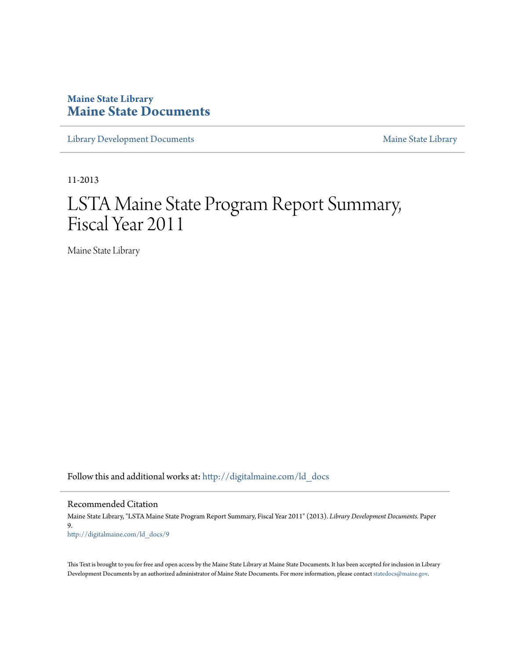# **Maine State Library [Maine State Documents](http://digitalmaine.com?utm_source=digitalmaine.com%2Fld_docs%2F9&utm_medium=PDF&utm_campaign=PDFCoverPages)**

[Library Development Documents](http://digitalmaine.com/ld_docs?utm_source=digitalmaine.com%2Fld_docs%2F9&utm_medium=PDF&utm_campaign=PDFCoverPages) [Maine State Library](http://digitalmaine.com/msl?utm_source=digitalmaine.com%2Fld_docs%2F9&utm_medium=PDF&utm_campaign=PDFCoverPages)

11-2013

# LSTA Maine State Program Report Summary, Fiscal Year 2011

Maine State Library

Follow this and additional works at: [http://digitalmaine.com/ld\\_docs](http://digitalmaine.com/ld_docs?utm_source=digitalmaine.com%2Fld_docs%2F9&utm_medium=PDF&utm_campaign=PDFCoverPages)

Recommended Citation

Maine State Library, "LSTA Maine State Program Report Summary, Fiscal Year 2011" (2013). *Library Development Documents.* Paper 9. [http://digitalmaine.com/ld\\_docs/9](http://digitalmaine.com/ld_docs/9?utm_source=digitalmaine.com%2Fld_docs%2F9&utm_medium=PDF&utm_campaign=PDFCoverPages)

This Text is brought to you for free and open access by the Maine State Library at Maine State Documents. It has been accepted for inclusion in Library Development Documents by an authorized administrator of Maine State Documents. For more information, please contact [statedocs@maine.gov](mailto:statedocs@maine.gov).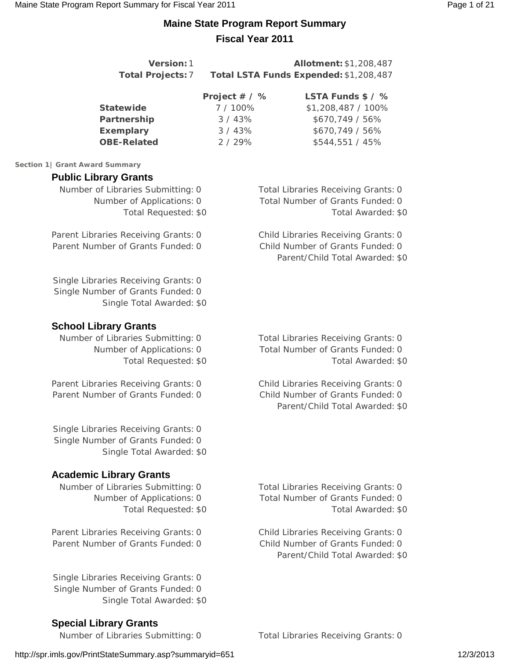# **Maine State Program Report Summary Fiscal Year 2011**

| Version: 1<br><b>Total Projects: 7</b>                                                                                   |                                                      | Allotment: \$1,208,487<br>Total LSTA Funds Expended: \$1,208,487                                           |
|--------------------------------------------------------------------------------------------------------------------------|------------------------------------------------------|------------------------------------------------------------------------------------------------------------|
| <b>Statewide</b><br>Partnership<br><b>Exemplary</b><br><b>OBE-Related</b>                                                | Project # / %<br>7 / 100%<br>3/43%<br>3/43%<br>2/29% | LSTA Funds \$ / %<br>\$1,208,487 / 100%<br>\$670,749 / 56%<br>\$670,749 / 56%<br>\$544,551 / 45%           |
| Section 1   Grant Award Summary                                                                                          |                                                      |                                                                                                            |
| <b>Public Library Grants</b><br>Number of Libraries Submitting: 0<br>Number of Applications: 0<br>Total Requested: \$0   |                                                      | <b>Total Libraries Receiving Grants: 0</b><br>Total Number of Grants Funded: 0<br>Total Awarded: \$0       |
| Parent Libraries Receiving Grants: 0<br>Parent Number of Grants Funded: 0                                                |                                                      | Child Libraries Receiving Grants: 0<br>Child Number of Grants Funded: 0<br>Parent/Child Total Awarded: \$0 |
| Single Libraries Receiving Grants: 0<br>Single Number of Grants Funded: 0<br>Single Total Awarded: \$0                   |                                                      |                                                                                                            |
| <b>School Library Grants</b><br>Number of Libraries Submitting: 0<br>Number of Applications: 0<br>Total Requested: \$0   |                                                      | <b>Total Libraries Receiving Grants: 0</b><br>Total Number of Grants Funded: 0<br>Total Awarded: \$0       |
| Parent Libraries Receiving Grants: 0<br>Parent Number of Grants Funded: 0                                                |                                                      | Child Libraries Receiving Grants: 0<br>Child Number of Grants Funded: 0<br>Parent/Child Total Awarded: \$0 |
| Single Libraries Receiving Grants: 0<br>Single Number of Grants Funded: 0<br>Single Total Awarded: \$0                   |                                                      |                                                                                                            |
| <b>Academic Library Grants</b><br>Number of Libraries Submitting: 0<br>Number of Applications: 0<br>Total Requested: \$0 |                                                      | <b>Total Libraries Receiving Grants: 0</b><br>Total Number of Grants Funded: 0<br>Total Awarded: \$0       |
| Parent Libraries Receiving Grants: 0<br>Parent Number of Grants Funded: 0                                                |                                                      | Child Libraries Receiving Grants: 0<br>Child Number of Grants Funded: 0<br>Parent/Child Total Awarded: \$0 |
| Single Libraries Receiving Grants: 0<br>Single Number of Grants Funded: 0                                                |                                                      |                                                                                                            |

Number of Libraries Submitting: 0 Total Libraries Receiving Grants: 0

**Special Library Grants**

Single Total Awarded: \$0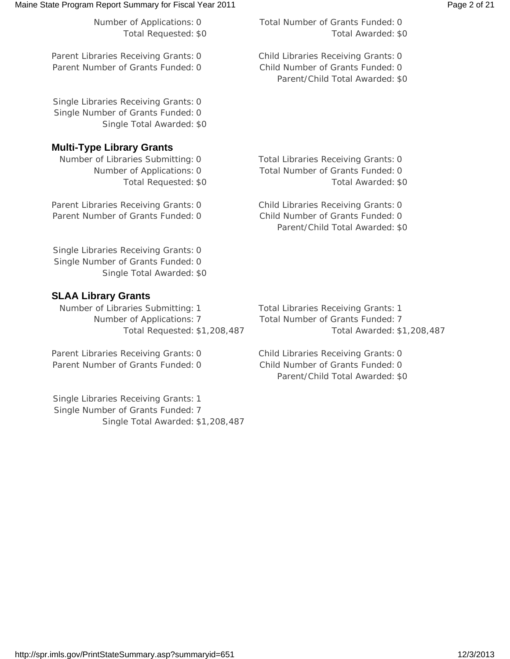### Maine State Program Report Summary for Fiscal Year 2011 **Page 2 of 21** Page 2 of 21

Parent Libraries Receiving Grants: 0 Child Libraries Receiving Grants: 0 Parent Number of Grants Funded: 0 Child Number of Grants Funded: 0

Single Libraries Receiving Grants: 0 Single Number of Grants Funded: 0 Single Total Awarded: \$0

## **Multi-Type Library Grants**

Number of Libraries Submitting: 0 Total Libraries Receiving Grants: 0

Parent Libraries Receiving Grants: 0 Child Libraries Receiving Grants: 0 Parent Number of Grants Funded: 0 Child Number of Grants Funded: 0

Single Libraries Receiving Grants: 0 Single Number of Grants Funded: 0 Single Total Awarded: \$0

## **SLAA Library Grants**

Number of Libraries Submitting: 1 Total Libraries Receiving Grants: 1 Number of Applications: 7 Total Number of Grants Funded: 7

Parent Libraries Receiving Grants: 0 Child Libraries Receiving Grants: 0 Parent Number of Grants Funded: 0 Child Number of Grants Funded: 0

Single Libraries Receiving Grants: 1 Single Number of Grants Funded: 7 Single Total Awarded: \$1,208,487

Total Requested: \$1,208,487 Total Awarded: \$1,208,487

Parent/Child Total Awarded: \$0

Parent/Child Total Awarded: \$0

Number of Applications: 0 Total Number of Grants Funded: 0 Total Requested: \$0 Total Awarded: \$0

Parent/Child Total Awarded: \$0

Number of Applications: 0 Total Number of Grants Funded: 0 Total Requested: \$0 Total Awarded: \$0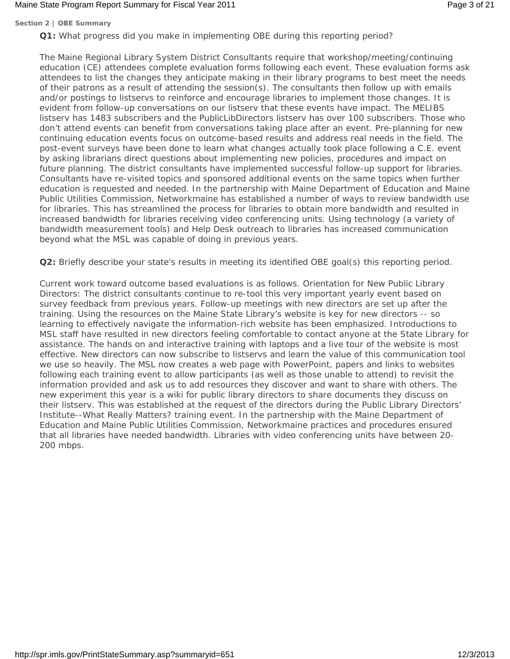### Maine State Program Report Summary for Fiscal Year 2011 **Page 3 of 21** Page 3 of 21

### **Section 2 | OBE Summary**

**Q1:** What progress did you make in implementing OBE during this reporting period?

The Maine Regional Library System District Consultants require that workshop/meeting/continuing education (CE) attendees complete evaluation forms following each event. These evaluation forms ask attendees to list the changes they anticipate making in their library programs to best meet the needs of their patrons as a result of attending the session(s). The consultants then follow up with emails and/or postings to listservs to reinforce and encourage libraries to implement those changes. It is evident from follow-up conversations on our listserv that these events have impact. The MELIBS listserv has 1483 subscribers and the PublicLibDirectors listserv has over 100 subscribers. Those who don't attend events can benefit from conversations taking place after an event. Pre-planning for new continuing education events focus on outcome-based results and address real needs in the field. The post-event surveys have been done to learn what changes actually took place following a C.E. event by asking librarians direct questions about implementing new policies, procedures and impact on future planning. The district consultants have implemented successful follow-up support for libraries. Consultants have re-visited topics and sponsored additional events on the same topics when further education is requested and needed. In the partnership with Maine Department of Education and Maine Public Utilities Commission, Networkmaine has established a number of ways to review bandwidth use for libraries. This has streamlined the process for libraries to obtain more bandwidth and resulted in increased bandwidth for libraries receiving video conferencing units. Using technology (a variety of bandwidth measurement tools) and Help Desk outreach to libraries has increased communication beyond what the MSL was capable of doing in previous years.

**Q2:** Briefly describe your state's results in meeting its identified OBE goal(s) this reporting period.

Current work toward outcome based evaluations is as follows. Orientation for New Public Library Directors: The district consultants continue to re-tool this very important yearly event based on survey feedback from previous years. Follow-up meetings with new directors are set up after the training. Using the resources on the Maine State Library's website is key for new directors -- so learning to effectively navigate the information-rich website has been emphasized. Introductions to MSL staff have resulted in new directors feeling comfortable to contact anyone at the State Library for assistance. The hands on and interactive training with laptops and a live tour of the website is most effective. New directors can now subscribe to listservs and learn the value of this communication tool we use so heavily. The MSL now creates a web page with PowerPoint, papers and links to websites following each training event to allow participants (as well as those unable to attend) to revisit the information provided and ask us to add resources they discover and want to share with others. The new experiment this year is a wiki for public library directors to share documents they discuss on their listserv. This was established at the request of the directors during the Public Library Directors' Institute--What Really Matters? training event. In the partnership with the Maine Department of Education and Maine Public Utilities Commission, Networkmaine practices and procedures ensured that all libraries have needed bandwidth. Libraries with video conferencing units have between 20- 200 mbps.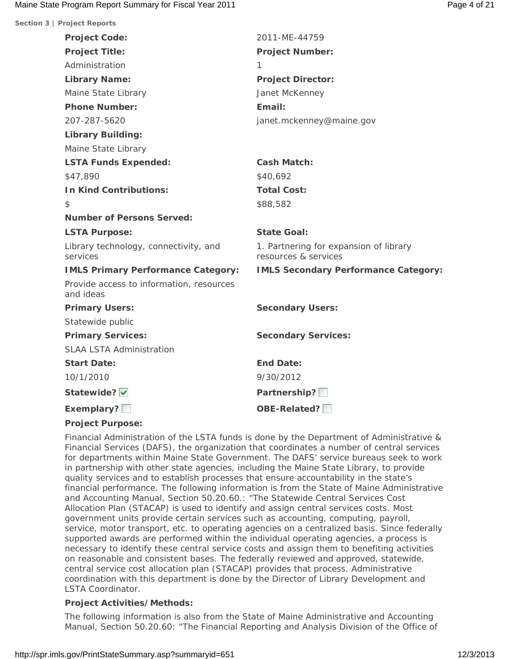| Section 3   Project Reports                           |                                                                |
|-------------------------------------------------------|----------------------------------------------------------------|
| <b>Project Code:</b>                                  | 2011-ME-44759                                                  |
| <b>Project Title:</b>                                 | <b>Project Number:</b>                                         |
| Administration                                        | 1                                                              |
| <b>Library Name:</b>                                  | <b>Project Director:</b>                                       |
| Maine State Library                                   | Janet McKenney                                                 |
| <b>Phone Number:</b>                                  | Email:                                                         |
| 207-287-5620                                          | janet.mckenney@maine.gov                                       |
| <b>Library Building:</b>                              |                                                                |
| Maine State Library                                   |                                                                |
| <b>LSTA Funds Expended:</b>                           | <b>Cash Match:</b>                                             |
| \$47,890                                              | \$40,692                                                       |
| <b>In Kind Contributions:</b>                         | <b>Total Cost:</b>                                             |
| $\mathcal{L}$                                         | \$88,582                                                       |
| <b>Number of Persons Served:</b>                      |                                                                |
| <b>LSTA Purpose:</b>                                  | <b>State Goal:</b>                                             |
| Library technology, connectivity, and<br>services     | 1. Partnering for expansion of library<br>resources & services |
| <b>IMLS Primary Performance Category:</b>             | <b>IMLS Secondary Performance Category:</b>                    |
| Provide access to information, resources<br>and ideas |                                                                |
| <b>Primary Users:</b>                                 | <b>Secondary Users:</b>                                        |
| Statewide public                                      |                                                                |
| <b>Primary Services:</b>                              | <b>Secondary Services:</b>                                     |
| <b>SLAA LSTA Administration</b>                       |                                                                |
| <b>Start Date:</b>                                    | <b>End Date:</b>                                               |
| 10/1/2010                                             | 9/30/2012                                                      |
| Statewide?                                            | Partnership?                                                   |
| Exemplary?                                            | <b>OBE-Related?</b>                                            |
|                                                       |                                                                |

### **Project Purpose:**

Financial Administration of the LSTA funds is done by the Department of Administrative & Financial Services (DAFS), the organization that coordinates a number of central services for departments within Maine State Government. The DAFS' service bureaus seek to work in partnership with other state agencies, including the Maine State Library, to provide quality services and to establish processes that ensure accountability in the state's financial performance. The following information is from the State of Maine Administrative and Accounting Manual, Section 50.20.60.: "The Statewide Central Services Cost Allocation Plan (STACAP) is used to identify and assign central services costs. Most government units provide certain services such as accounting, computing, payroll, service, motor transport, etc. to operating agencies on a centralized basis. Since federally supported awards are performed within the individual operating agencies, a process is necessary to identify these central service costs and assign them to benefiting activities on reasonable and consistent bases. The federally reviewed and approved, statewide, central service cost allocation plan (STACAP) provides that process. Administrative coordination with this department is done by the Director of Library Development and LSTA Coordinator.

### **Project Activities/Methods:**

The following information is also from the State of Maine Administrative and Accounting Manual, Section 50.20.60: "The Financial Reporting and Analysis Division of the Office of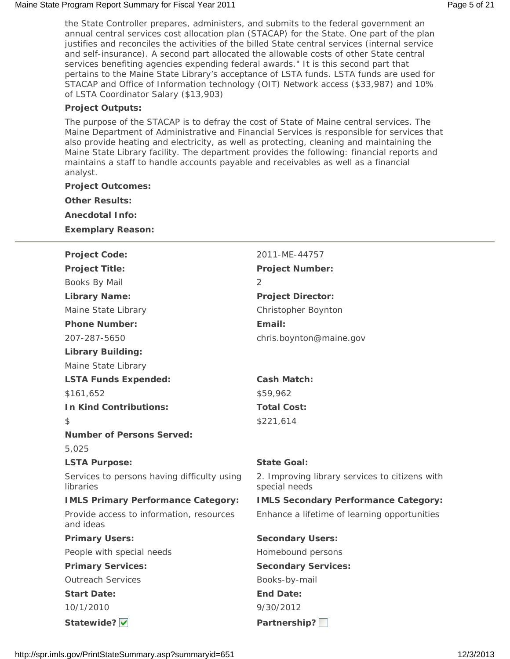### Maine State Program Report Summary for Fiscal Year 2011 **Page 1 and 2012** Page 5 of 21

the State Controller prepares, administers, and submits to the federal government an annual central services cost allocation plan (STACAP) for the State. One part of the plan justifies and reconciles the activities of the billed State central services (internal service and self-insurance). A second part allocated the allowable costs of other State central services benefiting agencies expending federal awards." It is this second part that pertains to the Maine State Library's acceptance of LSTA funds. LSTA funds are used for STACAP and Office of Information technology (OIT) Network access (\$33,987) and 10% of LSTA Coordinator Salary (\$13,903)

### **Project Outputs:**

The purpose of the STACAP is to defray the cost of State of Maine central services. The Maine Department of Administrative and Financial Services is responsible for services that also provide heating and electricity, as well as protecting, cleaning and maintaining the Maine State Library facility. The department provides the following: financial reports and maintains a staff to handle accounts payable and receivables as well as a financial analyst.

### **Project Outcomes:**

**Other Results:**

**Anecdotal Info:**

**Exemplary Reason:**

| <b>Project Code:</b>                                     | 2011-ME-44757                                                   |
|----------------------------------------------------------|-----------------------------------------------------------------|
| <b>Project Title:</b>                                    | <b>Project Number:</b>                                          |
| Books By Mail                                            | 2                                                               |
| <b>Library Name:</b>                                     | <b>Project Director:</b>                                        |
| Maine State Library                                      | Christopher Boynton                                             |
| <b>Phone Number:</b>                                     | Email:                                                          |
| 207-287-5650                                             | chris.boynton@maine.gov                                         |
| <b>Library Building:</b>                                 |                                                                 |
| Maine State Library                                      |                                                                 |
| <b>LSTA Funds Expended:</b>                              | <b>Cash Match:</b>                                              |
| \$161,652                                                | \$59,962                                                        |
| <b>In Kind Contributions:</b>                            | <b>Total Cost:</b>                                              |
| $\mathfrak{L}$                                           | \$221,614                                                       |
| <b>Number of Persons Served:</b>                         |                                                                 |
| 5,025                                                    |                                                                 |
| <b>LSTA Purpose:</b>                                     | <b>State Goal:</b>                                              |
| Services to persons having difficulty using<br>libraries | 2. Improving library services to citizens with<br>special needs |
| <b>IMLS Primary Performance Category:</b>                | <b>IMLS Secondary Performance Category:</b>                     |
| Provide access to information, resources<br>and ideas    | Enhance a lifetime of learning opportunities                    |
| <b>Primary Users:</b>                                    | <b>Secondary Users:</b>                                         |
| People with special needs                                | Homebound persons                                               |
| <b>Primary Services:</b>                                 | <b>Secondary Services:</b>                                      |
| <b>Outreach Services</b>                                 | Books-by-mail                                                   |
| <b>Start Date:</b>                                       | <b>End Date:</b>                                                |
| 10/1/2010                                                | 9/30/2012                                                       |
| Statewide? v                                             | Partnership?                                                    |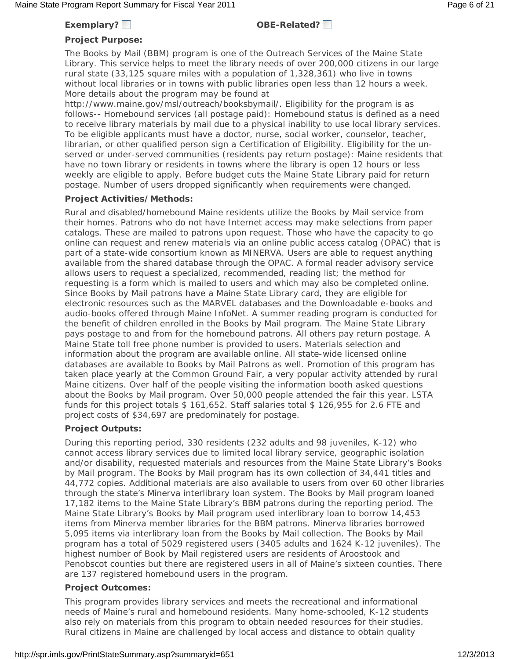### **Exemplary? OBE-Related?**

### **Project Purpose:**

The Books by Mail (BBM) program is one of the Outreach Services of the Maine State Library. This service helps to meet the library needs of over 200,000 citizens in our large rural state (33,125 square miles with a population of 1,328,361) who live in towns without local libraries or in towns with public libraries open less than 12 hours a week. More details about the program may be found at

http://www.maine.gov/msl/outreach/booksbymail/. Eligibility for the program is as follows-- Homebound services (all postage paid): Homebound status is defined as a need to receive library materials by mail due to a physical inability to use local library services. To be eligible applicants must have a doctor, nurse, social worker, counselor, teacher, librarian, or other qualified person sign a Certification of Eligibility. Eligibility for the unserved or under-served communities (residents pay return postage): Maine residents that have no town library or residents in towns where the library is open 12 hours or less weekly are eligible to apply. Before budget cuts the Maine State Library paid for return postage. Number of users dropped significantly when requirements were changed.

### **Project Activities/Methods:**

Rural and disabled/homebound Maine residents utilize the Books by Mail service from their homes. Patrons who do not have Internet access may make selections from paper catalogs. These are mailed to patrons upon request. Those who have the capacity to go online can request and renew materials via an online public access catalog (OPAC) that is part of a state-wide consortium known as MINERVA. Users are able to request anything available from the shared database through the OPAC. A formal reader advisory service allows users to request a specialized, recommended, reading list; the method for requesting is a form which is mailed to users and which may also be completed online. Since Books by Mail patrons have a Maine State Library card, they are eligible for electronic resources such as the MARVEL databases and the Downloadable e-books and audio-books offered through Maine InfoNet. A summer reading program is conducted for the benefit of children enrolled in the Books by Mail program. The Maine State Library pays postage to and from for the homebound patrons. All others pay return postage. A Maine State toll free phone number is provided to users. Materials selection and information about the program are available online. All state-wide licensed online databases are available to Books by Mail Patrons as well. Promotion of this program has taken place yearly at the Common Ground Fair, a very popular activity attended by rural Maine citizens. Over half of the people visiting the information booth asked questions about the Books by Mail program. Over 50,000 people attended the fair this year. LSTA funds for this project totals \$ 161,652. Staff salaries total \$ 126,955 for 2.6 FTE and project costs of \$34,697 are predominately for postage.

### **Project Outputs:**

During this reporting period, 330 residents (232 adults and 98 juveniles, K-12) who cannot access library services due to limited local library service, geographic isolation and/or disability, requested materials and resources from the Maine State Library's Books by Mail program. The Books by Mail program has its own collection of 34,441 titles and 44,772 copies. Additional materials are also available to users from over 60 other libraries through the state's Minerva interlibrary loan system. The Books by Mail program loaned 17,182 items to the Maine State Library's BBM patrons during the reporting period. The Maine State Library's Books by Mail program used interlibrary loan to borrow 14,453 items from Minerva member libraries for the BBM patrons. Minerva libraries borrowed 5,095 items via interlibrary loan from the Books by Mail collection. The Books by Mail program has a total of 5029 registered users (3405 adults and 1624 K-12 juveniles). The highest number of Book by Mail registered users are residents of Aroostook and Penobscot counties but there are registered users in all of Maine's sixteen counties. There are 137 registered homebound users in the program.

### **Project Outcomes:**

This program provides library services and meets the recreational and informational needs of Maine's rural and homebound residents. Many home-schooled, K-12 students also rely on materials from this program to obtain needed resources for their studies. Rural citizens in Maine are challenged by local access and distance to obtain quality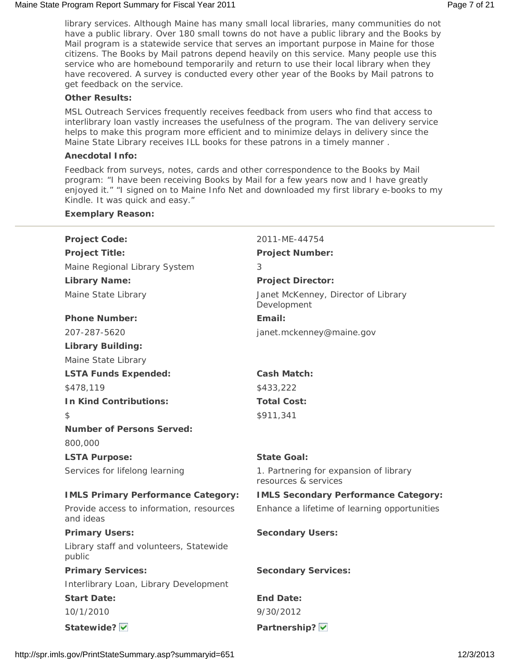### Maine State Program Report Summary for Fiscal Year 2011 **Page 7 of 21** Assembly 2012 1

library services. Although Maine has many small local libraries, many communities do not have a public library. Over 180 small towns do not have a public library and the Books by Mail program is a statewide service that serves an important purpose in Maine for those citizens. The Books by Mail patrons depend heavily on this service. Many people use this service who are homebound temporarily and return to use their local library when they have recovered. A survey is conducted every other year of the Books by Mail patrons to get feedback on the service.

### **Other Results:**

MSL Outreach Services frequently receives feedback from users who find that access to interlibrary loan vastly increases the usefulness of the program. The van delivery service helps to make this program more efficient and to minimize delays in delivery since the Maine State Library receives ILL books for these patrons in a timely manner .

### **Anecdotal Info:**

**Exemplary Reason:**

Feedback from surveys, notes, cards and other correspondence to the Books by Mail program: "I have been receiving Books by Mail for a few years now and I have greatly enjoyed it." "I signed on to Maine Info Net and downloaded my first library e-books to my Kindle. It was quick and easy."

| <b>Project Code:</b>                                  | 2011-ME-44754                                                  |
|-------------------------------------------------------|----------------------------------------------------------------|
| <b>Project Title:</b>                                 | <b>Project Number:</b>                                         |
| Maine Regional Library System                         | 3                                                              |
| <b>Library Name:</b>                                  | <b>Project Director:</b>                                       |
| Maine State Library                                   | Janet McKenney, Director of Library<br>Development             |
| <b>Phone Number:</b>                                  | Email:                                                         |
| 207-287-5620                                          | janet.mckenney@maine.gov                                       |
| <b>Library Building:</b>                              |                                                                |
| Maine State Library                                   |                                                                |
| <b>LSTA Funds Expended:</b>                           | <b>Cash Match:</b>                                             |
| \$478,119                                             | \$433,222                                                      |
| <b>In Kind Contributions:</b>                         | <b>Total Cost:</b>                                             |
| \$                                                    | \$911,341                                                      |
| <b>Number of Persons Served:</b>                      |                                                                |
| 800,000                                               |                                                                |
| <b>LSTA Purpose:</b>                                  | <b>State Goal:</b>                                             |
| Services for lifelong learning                        | 1. Partnering for expansion of library<br>resources & services |
| <b>IMLS Primary Performance Category:</b>             | <b>IMLS Secondary Performance Category:</b>                    |
| Provide access to information, resources<br>and ideas | Enhance a lifetime of learning opportunities                   |
| <b>Primary Users:</b>                                 | <b>Secondary Users:</b>                                        |
| Library staff and volunteers, Statewide<br>public     |                                                                |
| <b>Primary Services:</b>                              | <b>Secondary Services:</b>                                     |
| Interlibrary Loan, Library Development                |                                                                |
| <b>Start Date:</b>                                    | <b>End Date:</b>                                               |
| 10/1/2010                                             | 9/30/2012                                                      |
| Statewide?                                            | Partnership? V                                                 |
|                                                       |                                                                |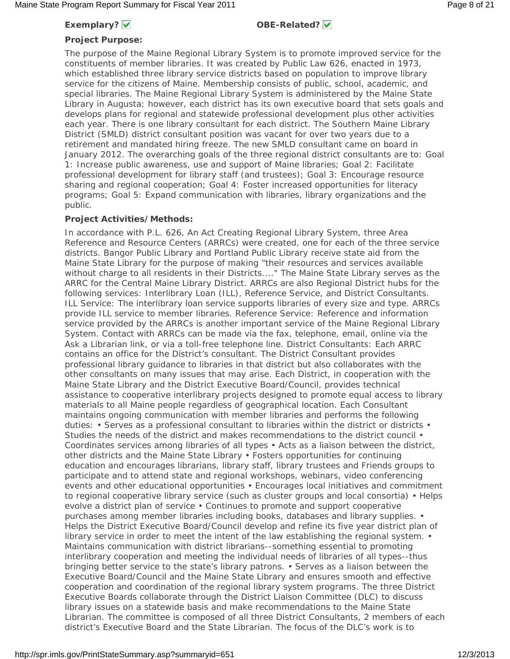### **Exemplary?**  $\checkmark$  **OBE-Related?**  $\checkmark$

### **Project Purpose:**

The purpose of the Maine Regional Library System is to promote improved service for the constituents of member libraries. It was created by Public Law 626, enacted in 1973, which established three library service districts based on population to improve library service for the citizens of Maine. Membership consists of public, school, academic, and special libraries. The Maine Regional Library System is administered by the Maine State Library in Augusta; however, each district has its own executive board that sets goals and develops plans for regional and statewide professional development plus other activities each year. There is one library consultant for each district. The Southern Maine Library District (SMLD) district consultant position was vacant for over two years due to a retirement and mandated hiring freeze. The new SMLD consultant came on board in January 2012. The overarching goals of the three regional district consultants are to: Goal 1: Increase public awareness, use and support of Maine libraries; Goal 2: Facilitate professional development for library staff (and trustees); Goal 3: Encourage resource sharing and regional cooperation; Goal 4: Foster increased opportunities for literacy programs; Goal 5: Expand communication with libraries, library organizations and the public.

### **Project Activities/Methods:**

In accordance with P.L. 626, An Act Creating Regional Library System, three Area Reference and Resource Centers (ARRCs) were created, one for each of the three service districts. Bangor Public Library and Portland Public Library receive state aid from the Maine State Library for the purpose of making "their resources and services available without charge to all residents in their Districts...." The Maine State Library serves as the ARRC for the Central Maine Library District. ARRCs are also Regional District hubs for the following services: Interlibrary Loan (ILL), Reference Service, and District Consultants. ILL Service: The interlibrary loan service supports libraries of every size and type. ARRCs provide ILL service to member libraries. Reference Service: Reference and information service provided by the ARRCs is another important service of the Maine Regional Library System. Contact with ARRCs can be made via the fax, telephone, email, online via the Ask a Librarian link, or via a toll-free telephone line. District Consultants: Each ARRC contains an office for the District's consultant. The District Consultant provides professional library guidance to libraries in that district but also collaborates with the other consultants on many issues that may arise. Each District, in cooperation with the Maine State Library and the District Executive Board/Council, provides technical assistance to cooperative interlibrary projects designed to promote equal access to library materials to all Maine people regardless of geographical location. Each Consultant maintains ongoing communication with member libraries and performs the following duties: • Serves as a professional consultant to libraries within the district or districts • Studies the needs of the district and makes recommendations to the district council • Coordinates services among libraries of all types • Acts as a liaison between the district, other districts and the Maine State Library • Fosters opportunities for continuing education and encourages librarians, library staff, library trustees and Friends groups to participate and to attend state and regional workshops, webinars, video conferencing events and other educational opportunities • Encourages local initiatives and commitment to regional cooperative library service (such as cluster groups and local consortia) • Helps evolve a district plan of service • Continues to promote and support cooperative purchases among member libraries including books, databases and library supplies. • Helps the District Executive Board/Council develop and refine its five year district plan of library service in order to meet the intent of the law establishing the regional system. • Maintains communication with district librarians--something essential to promoting interlibrary cooperation and meeting the individual needs of libraries of all types--thus bringing better service to the state's library patrons. • Serves as a liaison between the Executive Board/Council and the Maine State Library and ensures smooth and effective cooperation and coordination of the regional library system programs. The three District Executive Boards collaborate through the District Liaison Committee (DLC) to discuss library issues on a statewide basis and make recommendations to the Maine State Librarian. The committee is composed of all three District Consultants, 2 members of each district's Executive Board and the State Librarian. The focus of the DLC's work is to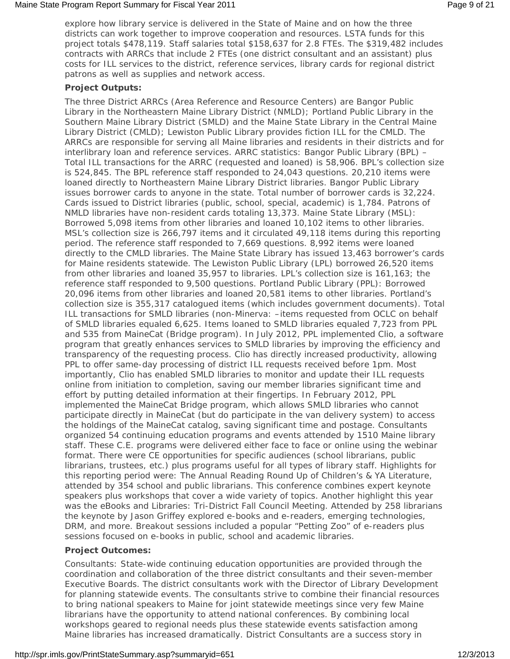explore how library service is delivered in the State of Maine and on how the three districts can work together to improve cooperation and resources. LSTA funds for this project totals \$478,119. Staff salaries total \$158,637 for 2.8 FTEs. The \$319,482 includes contracts with ARRCs that include 2 FTEs (one district consultant and an assistant) plus costs for ILL services to the district, reference services, library cards for regional district patrons as well as supplies and network access.

### **Project Outputs:**

The three District ARRCs (Area Reference and Resource Centers) are Bangor Public Library in the Northeastern Maine Library District (NMLD); Portland Public Library in the Southern Maine Library District (SMLD) and the Maine State Library in the Central Maine Library District (CMLD); Lewiston Public Library provides fiction ILL for the CMLD. The ARRCs are responsible for serving all Maine libraries and residents in their districts and for interlibrary loan and reference services. ARRC statistics: Bangor Public Library (BPL) – Total ILL transactions for the ARRC (requested and loaned) is 58,906. BPL's collection size is 524,845. The BPL reference staff responded to 24,043 questions. 20,210 items were loaned directly to Northeastern Maine Library District libraries. Bangor Public Library issues borrower cards to anyone in the state. Total number of borrower cards is 32,224. Cards issued to District libraries (public, school, special, academic) is 1,784. Patrons of NMLD libraries have non-resident cards totaling 13,373. Maine State Library (MSL): Borrowed 5,098 items from other libraries and loaned 10,102 items to other libraries. MSL's collection size is 266,797 items and it circulated 49,118 items during this reporting period. The reference staff responded to 7,669 questions. 8,992 items were loaned directly to the CMLD libraries. The Maine State Library has issued 13,463 borrower's cards for Maine residents statewide. The Lewiston Public Library (LPL) borrowed 26,520 items from other libraries and loaned 35,957 to libraries. LPL's collection size is 161,163; the reference staff responded to 9,500 questions. Portland Public Library (PPL): Borrowed 20,096 items from other libraries and loaned 20,581 items to other libraries. Portland's collection size is 355,317 catalogued items (which includes government documents). Total ILL transactions for SMLD libraries (non-Minerva: –items requested from OCLC on behalf of SMLD libraries equaled 6,625. Items loaned to SMLD libraries equaled 7,723 from PPL and 535 from MaineCat (Bridge program). In July 2012, PPL implemented Clio, a software program that greatly enhances services to SMLD libraries by improving the efficiency and transparency of the requesting process. Clio has directly increased productivity, allowing PPL to offer same-day processing of district ILL requests received before 1pm. Most importantly, Clio has enabled SMLD libraries to monitor and update their ILL requests online from initiation to completion, saving our member libraries significant time and effort by putting detailed information at their fingertips. In February 2012, PPL implemented the MaineCat Bridge program, which allows SMLD libraries who cannot participate directly in MaineCat (but do participate in the van delivery system) to access the holdings of the MaineCat catalog, saving significant time and postage. Consultants organized 54 continuing education programs and events attended by 1510 Maine library staff. These C.E. programs were delivered either face to face or online using the webinar format. There were CE opportunities for specific audiences (school librarians, public librarians, trustees, etc.) plus programs useful for all types of library staff. Highlights for this reporting period were: The Annual Reading Round Up of Children's & YA Literature, attended by 354 school and public librarians. This conference combines expert keynote speakers plus workshops that cover a wide variety of topics. Another highlight this year was the eBooks and Libraries: Tri-District Fall Council Meeting. Attended by 258 librarians the keynote by Jason Griffey explored e-books and e-readers, emerging technologies, DRM, and more. Breakout sessions included a popular "Petting Zoo" of e-readers plus sessions focused on e-books in public, school and academic libraries.

### **Project Outcomes:**

Consultants: State-wide continuing education opportunities are provided through the coordination and collaboration of the three district consultants and their seven-member Executive Boards. The district consultants work with the Director of Library Development for planning statewide events. The consultants strive to combine their financial resources to bring national speakers to Maine for joint statewide meetings since very few Maine librarians have the opportunity to attend national conferences. By combining local workshops geared to regional needs plus these statewide events satisfaction among Maine libraries has increased dramatically. District Consultants are a success story in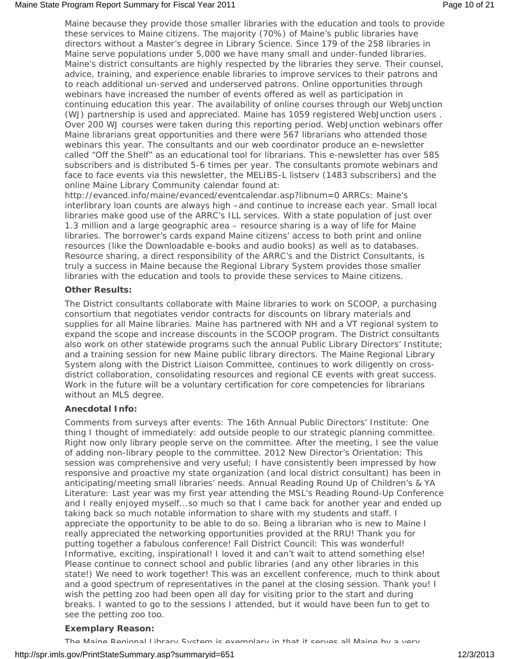Maine because they provide those smaller libraries with the education and tools to provide these services to Maine citizens. The majority (70%) of Maine's public libraries have directors without a Master's degree in Library Science. Since 179 of the 258 libraries in Maine serve populations under 5,000 we have many small and under-funded libraries. Maine's district consultants are highly respected by the libraries they serve. Their counsel, advice, training, and experience enable libraries to improve services to their patrons and to reach additional un-served and underserved patrons. Online opportunities through webinars have increased the number of events offered as well as participation in continuing education this year. The availability of online courses through our WebJunction (WJ) partnership is used and appreciated. Maine has 1059 registered WebJunction users . Over 200 WJ courses were taken during this reporting period. WebJunction webinars offer Maine librarians great opportunities and there were 567 librarians who attended those webinars this year. The consultants and our web coordinator produce an e-newsletter called "Off the Shelf" as an educational tool for librarians. This e-newsletter has over 585 subscribers and is distributed 5-6 times per year. The consultants promote webinars and face to face events via this newsletter, the MELIBS-L listserv (1483 subscribers) and the online Maine Library Community calendar found at:

http://evanced.info/maine/evanced/eventcalendar.asp?libnum=0 ARRCs: Maine's interlibrary loan counts are always high –and continue to increase each year. Small local libraries make good use of the ARRC's ILL services. With a state population of just over 1.3 million and a large geographic area – resource sharing is a way of life for Maine libraries. The borrower's cards expand Maine citizens' access to both print and online resources (like the Downloadable e-books and audio books) as well as to databases. Resource sharing, a direct responsibility of the ARRC's and the District Consultants, is truly a success in Maine because the Regional Library System provides those smaller libraries with the education and tools to provide these services to Maine citizens.

### **Other Results:**

The District consultants collaborate with Maine libraries to work on SCOOP, a purchasing consortium that negotiates vendor contracts for discounts on library materials and supplies for all Maine libraries. Maine has partnered with NH and a VT regional system to expand the scope and increase discounts in the SCOOP program. The District consultants also work on other statewide programs such the annual Public Library Directors' Institute; and a training session for new Maine public library directors. The Maine Regional Library System along with the District Liaison Committee, continues to work diligently on crossdistrict collaboration, consolidating resources and regional CE events with great success. Work in the future will be a voluntary certification for core competencies for librarians without an MLS degree.

### **Anecdotal Info:**

Comments from surveys after events: The 16th Annual Public Directors' Institute: One thing I thought of immediately: add outside people to our strategic planning committee. Right now only library people serve on the committee. After the meeting, I see the value of adding non-library people to the committee. 2012 New Director's Orientation: This session was comprehensive and very useful; I have consistently been impressed by how responsive and proactive my state organization (and local district consultant) has been in anticipating/meeting small libraries' needs. Annual Reading Round Up of Children's & YA Literature: Last year was my first year attending the MSL's Reading Round-Up Conference and I really enjoyed myself...so much so that I came back for another year and ended up taking back so much notable information to share with my students and staff. I appreciate the opportunity to be able to do so. Being a librarian who is new to Maine I really appreciated the networking opportunities provided at the RRU! Thank you for putting together a fabulous conference! Fall District Council: This was wonderful! Informative, exciting, inspirational! I loved it and can't wait to attend something else! Please continue to connect school and public libraries (and any other libraries in this state!) We need to work together! This was an excellent conference, much to think about and a good spectrum of representatives in the panel at the closing session. Thank you! I wish the petting zoo had been open all day for visiting prior to the start and during breaks. I wanted to go to the sessions I attended, but it would have been fun to get to see the petting zoo too.

### **Exemplary Reason:**

The Maine Deninnal Library System is evemplary in that it serves all Maine by a very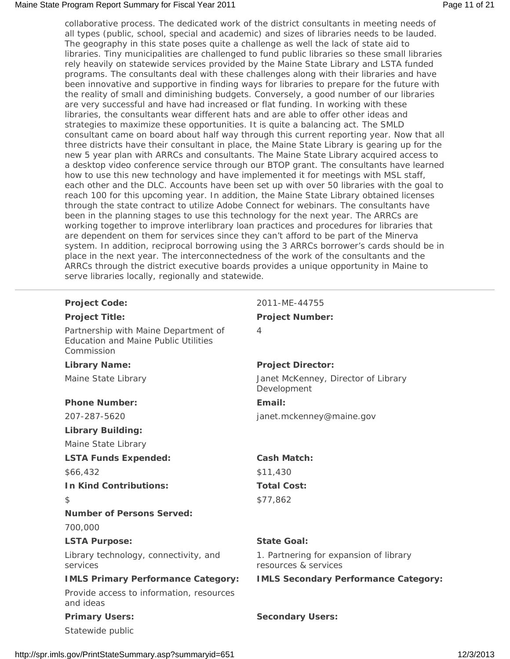### Maine State Program Report Summary for Fiscal Year 2011 **Page 11** of 21 and 2019 Page 11 of 21

collaborative process. The dedicated work of the district consultants in meeting needs of all types (public, school, special and academic) and sizes of libraries needs to be lauded. The geography in this state poses quite a challenge as well the lack of state aid to libraries. Tiny municipalities are challenged to fund public libraries so these small libraries rely heavily on statewide services provided by the Maine State Library and LSTA funded programs. The consultants deal with these challenges along with their libraries and have been innovative and supportive in finding ways for libraries to prepare for the future with the reality of small and diminishing budgets. Conversely, a good number of our libraries are very successful and have had increased or flat funding. In working with these libraries, the consultants wear different hats and are able to offer other ideas and strategies to maximize these opportunities. It is quite a balancing act. The SMLD consultant came on board about half way through this current reporting year. Now that all three districts have their consultant in place, the Maine State Library is gearing up for the new 5 year plan with ARRCs and consultants. The Maine State Library acquired access to a desktop video conference service through our BTOP grant. The consultants have learned how to use this new technology and have implemented it for meetings with MSL staff, each other and the DLC. Accounts have been set up with over 50 libraries with the goal to reach 100 for this upcoming year. In addition, the Maine State Library obtained licenses through the state contract to utilize Adobe Connect for webinars. The consultants have been in the planning stages to use this technology for the next year. The ARRCs are working together to improve interlibrary loan practices and procedures for libraries that are dependent on them for services since they can't afford to be part of the Minerva system. In addition, reciprocal borrowing using the 3 ARRCs borrower's cards should be in place in the next year. The interconnectedness of the work of the consultants and the ARRCs through the district executive boards provides a unique opportunity in Maine to serve libraries locally, regionally and statewide.

Partnership with Maine Department of Education and Maine Public Utilities Commission

### Phone Number: Email:

### **Library Building:**

Maine State Library

### **LSTA Funds Expended: Cash Match:**

\$66,432 \$11,430

### **In Kind Contributions:** Total Cost:

### **Number of Persons Served:**

700,000

### LSTA Purpose: State Goal:

Library technology, connectivity, and services

# Provide access to information, resources

and ideas

Statewide public

# **Project Code:** 2011-ME-44755

### **Project Title: Project Number:**

4

### Library Name: **Project Director:**

Maine State Library Janet McKenney, Director of Library Development

207-287-5620 janet.mckenney@maine.gov

\$ \$77,862

1. Partnering for expansion of library resources & services

**IMLS Primary Performance Category: IMLS Secondary Performance Category:**

### **Primary Users:** Secondary Users:

http://spr.imls.gov/PrintStateSummary.asp?summaryid=651 12/3/2013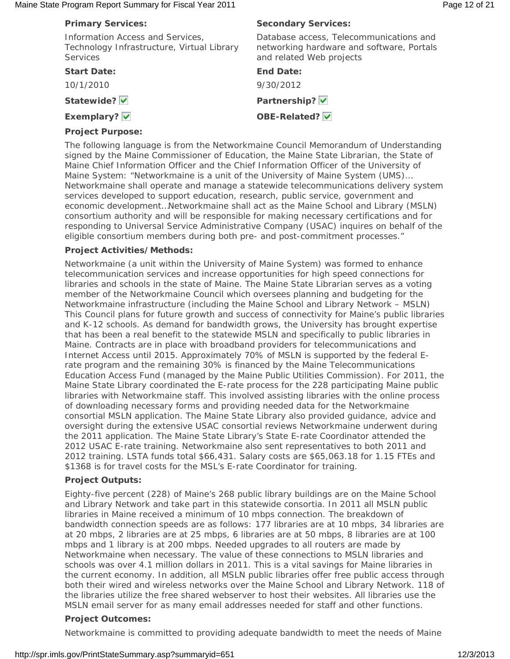### Maine State Program Report Summary for Fiscal Year 2011 **Page 12 of 21** Page 12 of 21

| <b>Primary Services:</b>                                                                          | <b>Secondary Services:</b>                                                                                       |
|---------------------------------------------------------------------------------------------------|------------------------------------------------------------------------------------------------------------------|
| Information Access and Services,<br>Technology Infrastructure, Virtual Library<br><b>Services</b> | Database access, Telecommunications and<br>networking hardware and software, Portals<br>and related Web projects |
| <b>Start Date:</b>                                                                                | <b>End Date:</b>                                                                                                 |
| 10/1/2010                                                                                         | 9/30/2012                                                                                                        |
| Statewide?                                                                                        | Partnership? V                                                                                                   |
| Exemplary? V                                                                                      | OBE-Related? V                                                                                                   |
| <b>Project Purpose:</b>                                                                           |                                                                                                                  |

The following language is from the Networkmaine Council Memorandum of Understanding signed by the Maine Commissioner of Education, the Maine State Librarian, the State of Maine Chief Information Officer and the Chief Information Officer of the University of Maine System: "Networkmaine is a unit of the University of Maine System (UMS)… Networkmaine shall operate and manage a statewide telecommunications delivery system services developed to support education, research, public service, government and economic development…Networkmaine shall act as the Maine School and Library (MSLN) consortium authority and will be responsible for making necessary certifications and for responding to Universal Service Administrative Company (USAC) inquires on behalf of the eligible consortium members during both pre- and post-commitment processes."

### **Project Activities/Methods:**

Networkmaine (a unit within the University of Maine System) was formed to enhance telecommunication services and increase opportunities for high speed connections for libraries and schools in the state of Maine. The Maine State Librarian serves as a voting member of the Networkmaine Council which oversees planning and budgeting for the Networkmaine infrastructure (including the Maine School and Library Network – MSLN) This Council plans for future growth and success of connectivity for Maine's public libraries and K-12 schools. As demand for bandwidth grows, the University has brought expertise that has been a real benefit to the statewide MSLN and specifically to public libraries in Maine. Contracts are in place with broadband providers for telecommunications and Internet Access until 2015. Approximately 70% of MSLN is supported by the federal Erate program and the remaining 30% is financed by the Maine Telecommunications Education Access Fund (managed by the Maine Public Utilities Commission). For 2011, the Maine State Library coordinated the E-rate process for the 228 participating Maine public libraries with Networkmaine staff. This involved assisting libraries with the online process of downloading necessary forms and providing needed data for the Networkmaine consortial MSLN application. The Maine State Library also provided guidance, advice and oversight during the extensive USAC consortial reviews Networkmaine underwent during the 2011 application. The Maine State Library's State E-rate Coordinator attended the 2012 USAC E-rate training. Networkmaine also sent representatives to both 2011 and 2012 training. LSTA funds total \$66,431. Salary costs are \$65,063.18 for 1.15 FTEs and \$1368 is for travel costs for the MSL's E-rate Coordinator for training.

### **Project Outputs:**

Eighty-five percent (228) of Maine's 268 public library buildings are on the Maine School and Library Network and take part in this statewide consortia. In 2011 all MSLN public libraries in Maine received a minimum of 10 mbps connection. The breakdown of bandwidth connection speeds are as follows: 177 libraries are at 10 mbps, 34 libraries are at 20 mbps, 2 libraries are at 25 mbps, 6 libraries are at 50 mbps, 8 libraries are at 100 mbps and 1 library is at 200 mbps. Needed upgrades to all routers are made by Networkmaine when necessary. The value of these connections to MSLN libraries and schools was over 4.1 million dollars in 2011. This is a vital savings for Maine libraries in the current economy. In addition, all MSLN public libraries offer free public access through both their wired and wireless networks over the Maine School and Library Network. 118 of the libraries utilize the free shared webserver to host their websites. All libraries use the MSLN email server for as many email addresses needed for staff and other functions.

### **Project Outcomes:**

Networkmaine is committed to providing adequate bandwidth to meet the needs of Maine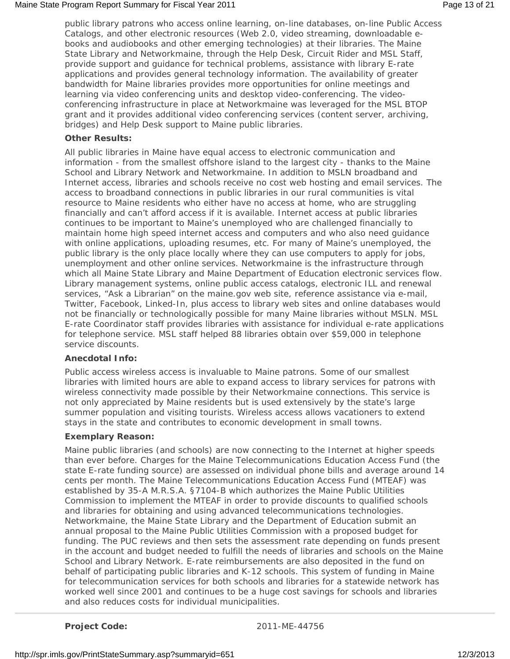public library patrons who access online learning, on-line databases, on-line Public Access Catalogs, and other electronic resources (Web 2.0, video streaming, downloadable ebooks and audiobooks and other emerging technologies) at their libraries. The Maine State Library and Networkmaine, through the Help Desk, Circuit Rider and MSL Staff, provide support and guidance for technical problems, assistance with library E-rate applications and provides general technology information. The availability of greater bandwidth for Maine libraries provides more opportunities for online meetings and learning via video conferencing units and desktop video-conferencing. The videoconferencing infrastructure in place at Networkmaine was leveraged for the MSL BTOP grant and it provides additional video conferencing services (content server, archiving, bridges) and Help Desk support to Maine public libraries.

### **Other Results:**

All public libraries in Maine have equal access to electronic communication and information - from the smallest offshore island to the largest city - thanks to the Maine School and Library Network and Networkmaine. In addition to MSLN broadband and Internet access, libraries and schools receive no cost web hosting and email services. The access to broadband connections in public libraries in our rural communities is vital resource to Maine residents who either have no access at home, who are struggling financially and can't afford access if it is available. Internet access at public libraries continues to be important to Maine's unemployed who are challenged financially to maintain home high speed internet access and computers and who also need guidance with online applications, uploading resumes, etc. For many of Maine's unemployed, the public library is the only place locally where they can use computers to apply for jobs, unemployment and other online services. Networkmaine is the infrastructure through which all Maine State Library and Maine Department of Education electronic services flow. Library management systems, online public access catalogs, electronic ILL and renewal services, "Ask a Librarian" on the maine.gov web site, reference assistance via e-mail, Twitter, Facebook, Linked-In, plus access to library web sites and online databases would not be financially or technologically possible for many Maine libraries without MSLN. MSL E-rate Coordinator staff provides libraries with assistance for individual e-rate applications for telephone service. MSL staff helped 88 libraries obtain over \$59,000 in telephone service discounts.

### **Anecdotal Info:**

Public access wireless access is invaluable to Maine patrons. Some of our smallest libraries with limited hours are able to expand access to library services for patrons with wireless connectivity made possible by their Networkmaine connections. This service is not only appreciated by Maine residents but is used extensively by the state's large summer population and visiting tourists. Wireless access allows vacationers to extend stays in the state and contributes to economic development in small towns.

### **Exemplary Reason:**

Maine public libraries (and schools) are now connecting to the Internet at higher speeds than ever before. Charges for the Maine Telecommunications Education Access Fund (the state E-rate funding source) are assessed on individual phone bills and average around 14 cents per month. The Maine Telecommunications Education Access Fund (MTEAF) was established by 35-A M.R.S.A. §7104-B which authorizes the Maine Public Utilities Commission to implement the MTEAF in order to provide discounts to qualified schools and libraries for obtaining and using advanced telecommunications technologies. Networkmaine, the Maine State Library and the Department of Education submit an annual proposal to the Maine Public Utilities Commission with a proposed budget for funding. The PUC reviews and then sets the assessment rate depending on funds present in the account and budget needed to fulfill the needs of libraries and schools on the Maine School and Library Network. E-rate reimbursements are also deposited in the fund on behalf of participating public libraries and K-12 schools. This system of funding in Maine for telecommunication services for both schools and libraries for a statewide network has worked well since 2001 and continues to be a huge cost savings for schools and libraries and also reduces costs for individual municipalities.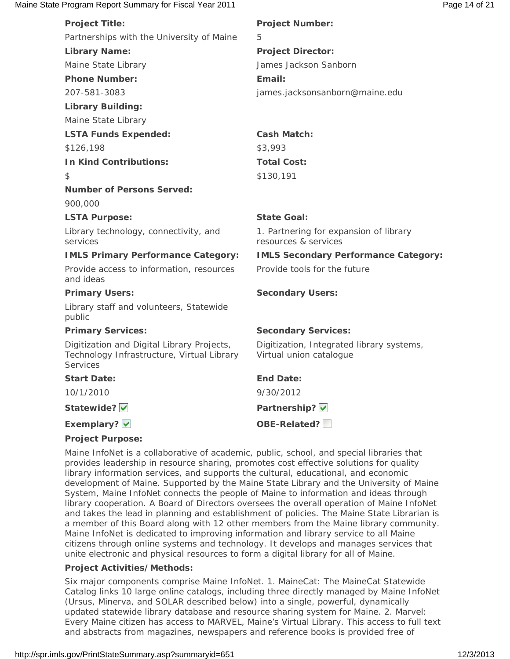### Maine State Program Report Summary for Fiscal Year 2011 **Page 14 of 21** Page 14 of 21

| <b>Project Title:</b>                                                                                       | <b>Project Number:</b>                                               |
|-------------------------------------------------------------------------------------------------------------|----------------------------------------------------------------------|
| Partnerships with the University of Maine                                                                   | 5                                                                    |
| <b>Library Name:</b>                                                                                        | <b>Project Director:</b>                                             |
| Maine State Library                                                                                         | James Jackson Sanborn                                                |
| <b>Phone Number:</b>                                                                                        | Email:                                                               |
| 207-581-3083                                                                                                | james.jacksonsanborn@maine.edu                                       |
| <b>Library Building:</b>                                                                                    |                                                                      |
| Maine State Library                                                                                         |                                                                      |
| <b>LSTA Funds Expended:</b>                                                                                 | <b>Cash Match:</b>                                                   |
| \$126,198                                                                                                   | \$3,993                                                              |
| <b>In Kind Contributions:</b>                                                                               | <b>Total Cost:</b>                                                   |
| \$                                                                                                          | \$130,191                                                            |
| <b>Number of Persons Served:</b>                                                                            |                                                                      |
| 900,000                                                                                                     |                                                                      |
| <b>LSTA Purpose:</b>                                                                                        | <b>State Goal:</b>                                                   |
| Library technology, connectivity, and<br>services                                                           | 1. Partnering for expansion of library<br>resources & services       |
| <b>IMLS Primary Performance Category:</b>                                                                   | <b>IMLS Secondary Performance Category:</b>                          |
| Provide access to information, resources<br>and ideas                                                       | Provide tools for the future                                         |
| <b>Primary Users:</b>                                                                                       | <b>Secondary Users:</b>                                              |
| Library staff and volunteers, Statewide<br>public                                                           |                                                                      |
| <b>Primary Services:</b>                                                                                    | <b>Secondary Services:</b>                                           |
| Digitization and Digital Library Projects,<br>Technology Infrastructure, Virtual Library<br><b>Services</b> | Digitization, Integrated library systems,<br>Virtual union catalogue |
| <b>Start Date:</b>                                                                                          | <b>End Date:</b>                                                     |
| 10/1/2010                                                                                                   | 9/30/2012                                                            |
| Statewide?                                                                                                  | Partnership? V                                                       |
| Exemplary? V                                                                                                | OBE-Related?                                                         |
| $D = L + L$                                                                                                 |                                                                      |

### **Project Purpose:**

Maine InfoNet is a collaborative of academic, public, school, and special libraries that provides leadership in resource sharing, promotes cost effective solutions for quality library information services, and supports the cultural, educational, and economic development of Maine. Supported by the Maine State Library and the University of Maine System, Maine InfoNet connects the people of Maine to information and ideas through library cooperation. A Board of Directors oversees the overall operation of Maine InfoNet and takes the lead in planning and establishment of policies. The Maine State Librarian is a member of this Board along with 12 other members from the Maine library community. Maine InfoNet is dedicated to improving information and library service to all Maine citizens through online systems and technology. It develops and manages services that unite electronic and physical resources to form a digital library for all of Maine.

### **Project Activities/Methods:**

Six major components comprise Maine InfoNet. 1. MaineCat: The MaineCat Statewide Catalog links 10 large online catalogs, including three directly managed by Maine InfoNet (Ursus, Minerva, and SOLAR described below) into a single, powerful, dynamically updated statewide library database and resource sharing system for Maine. 2. Marvel: Every Maine citizen has access to MARVEL, Maine's Virtual Library. This access to full text and abstracts from magazines, newspapers and reference books is provided free of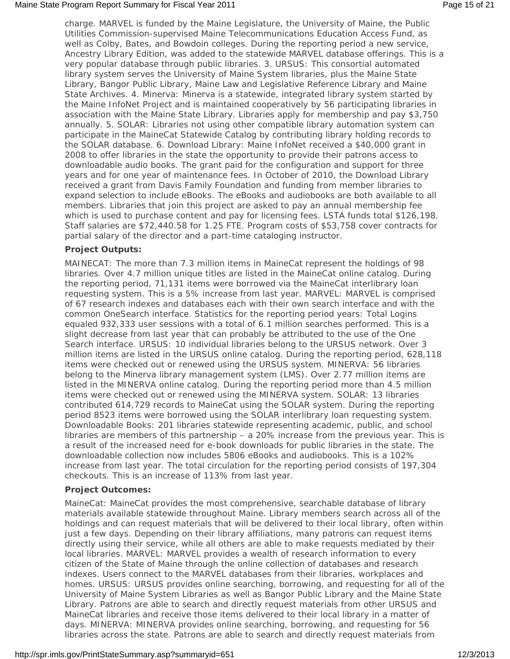charge. MARVEL is funded by the Maine Legislature, the University of Maine, the Public Utilities Commission-supervised Maine Telecommunications Education Access Fund, as well as Colby, Bates, and Bowdoin colleges. During the reporting period a new service, Ancestry Library Edition, was added to the statewide MARVEL database offerings. This is a very popular database through public libraries. 3. URSUS: This consortial automated library system serves the University of Maine System libraries, plus the Maine State Library, Bangor Public Library, Maine Law and Legislative Reference Library and Maine State Archives. 4. Minerva: Minerva is a statewide, integrated library system started by the Maine InfoNet Project and is maintained cooperatively by 56 participating libraries in association with the Maine State Library. Libraries apply for membership and pay \$3,750 annually. 5. SOLAR: Libraries not using other compatible library automation system can participate in the MaineCat Statewide Catalog by contributing library holding records to the SOLAR database. 6. Download Library: Maine InfoNet received a \$40,000 grant in 2008 to offer libraries in the state the opportunity to provide their patrons access to downloadable audio books. The grant paid for the configuration and support for three years and for one year of maintenance fees. In October of 2010, the Download Library received a grant from Davis Family Foundation and funding from member libraries to expand selection to include eBooks. The eBooks and audiobooks are both available to all members. Libraries that join this project are asked to pay an annual membership fee which is used to purchase content and pay for licensing fees. LSTA funds total \$126,198. Staff salaries are \$72,440.58 for 1.25 FTE. Program costs of \$53,758 cover contracts for partial salary of the director and a part-time cataloging instructor.

### **Project Outputs:**

MAINECAT: The more than 7.3 million items in MaineCat represent the holdings of 98 libraries. Over 4.7 million unique titles are listed in the MaineCat online catalog. During the reporting period, 71,131 items were borrowed via the MaineCat interlibrary loan requesting system. This is a 5% increase from last year. MARVEL: MARVEL is comprised of 67 research indexes and databases each with their own search interface and with the common OneSearch interface. Statistics for the reporting period years: Total Logins equaled 932,333 user sessions with a total of 6.1 million searches performed. This is a slight decrease from last year that can probably be attributed to the use of the One Search interface. URSUS: 10 individual libraries belong to the URSUS network. Over 3 million items are listed in the URSUS online catalog. During the reporting period, 628,118 items were checked out or renewed using the URSUS system. MINERVA: 56 libraries belong to the Minerva library management system (LMS). Over 2.77 million items are listed in the MINERVA online catalog. During the reporting period more than 4.5 million items were checked out or renewed using the MINERVA system. SOLAR: 13 libraries contributed 614,729 records to MaineCat using the SOLAR system. During the reporting period 8523 items were borrowed using the SOLAR interlibrary loan requesting system. Downloadable Books: 201 libraries statewide representing academic, public, and school libraries are members of this partnership – a 20% increase from the previous year. This is a result of the increased need for e-book downloads for public libraries in the state. The downloadable collection now includes 5806 eBooks and audiobooks. This is a 102% increase from last year. The total circulation for the reporting period consists of 197,304 checkouts. This is an increase of 113% from last year.

### **Project Outcomes:**

MaineCat: MaineCat provides the most comprehensive, searchable database of library materials available statewide throughout Maine. Library members search across all of the holdings and can request materials that will be delivered to their local library, often within just a few days. Depending on their library affiliations, many patrons can request items directly using their service, while all others are able to make requests mediated by their local libraries. MARVEL: MARVEL provides a wealth of research information to every citizen of the State of Maine through the online collection of databases and research indexes. Users connect to the MARVEL databases from their libraries, workplaces and homes. URSUS: URSUS provides online searching, borrowing, and requesting for all of the University of Maine System Libraries as well as Bangor Public Library and the Maine State Library. Patrons are able to search and directly request materials from other URSUS and MaineCat libraries and receive those items delivered to their local library in a matter of days. MINERVA: MINERVA provides online searching, borrowing, and requesting for 56 libraries across the state. Patrons are able to search and directly request materials from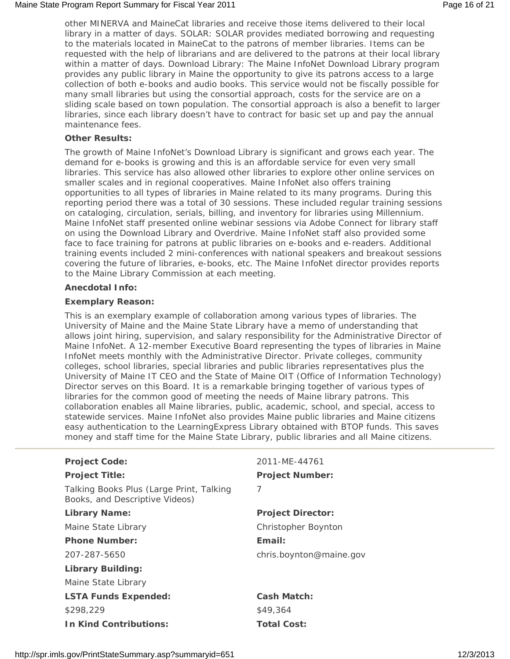other MINERVA and MaineCat libraries and receive those items delivered to their local library in a matter of days. SOLAR: SOLAR provides mediated borrowing and requesting to the materials located in MaineCat to the patrons of member libraries. Items can be requested with the help of librarians and are delivered to the patrons at their local library within a matter of days. Download Library: The Maine InfoNet Download Library program provides any public library in Maine the opportunity to give its patrons access to a large collection of both e-books and audio books. This service would not be fiscally possible for many small libraries but using the consortial approach, costs for the service are on a sliding scale based on town population. The consortial approach is also a benefit to larger libraries, since each library doesn't have to contract for basic set up and pay the annual maintenance fees.

### **Other Results:**

The growth of Maine InfoNet's Download Library is significant and grows each year. The demand for e-books is growing and this is an affordable service for even very small libraries. This service has also allowed other libraries to explore other online services on smaller scales and in regional cooperatives. Maine InfoNet also offers training opportunities to all types of libraries in Maine related to its many programs. During this reporting period there was a total of 30 sessions. These included regular training sessions on cataloging, circulation, serials, billing, and inventory for libraries using Millennium. Maine InfoNet staff presented online webinar sessions via Adobe Connect for library staff on using the Download Library and Overdrive. Maine InfoNet staff also provided some face to face training for patrons at public libraries on e-books and e-readers. Additional training events included 2 mini-conferences with national speakers and breakout sessions covering the future of libraries, e-books, etc. The Maine InfoNet director provides reports to the Maine Library Commission at each meeting.

### **Anecdotal Info:**

### **Exemplary Reason:**

This is an exemplary example of collaboration among various types of libraries. The University of Maine and the Maine State Library have a memo of understanding that allows joint hiring, supervision, and salary responsibility for the Administrative Director of Maine InfoNet. A 12-member Executive Board representing the types of libraries in Maine InfoNet meets monthly with the Administrative Director. Private colleges, community colleges, school libraries, special libraries and public libraries representatives plus the University of Maine IT CEO and the State of Maine OIT (Office of Information Technology) Director serves on this Board. It is a remarkable bringing together of various types of libraries for the common good of meeting the needs of Maine library patrons. This collaboration enables all Maine libraries, public, academic, school, and special, access to statewide services. Maine InfoNet also provides Maine public libraries and Maine citizens easy authentication to the LearningExpress Library obtained with BTOP funds. This saves money and staff time for the Maine State Library, public libraries and all Maine citizens.

| <b>Project Code:</b>                                                       | 2011-ME-44761            |
|----------------------------------------------------------------------------|--------------------------|
| <b>Project Title:</b>                                                      | <b>Project Number:</b>   |
| Talking Books Plus (Large Print, Talking<br>Books, and Descriptive Videos) | 7                        |
| <b>Library Name:</b>                                                       | <b>Project Director:</b> |
| Maine State Library                                                        | Christopher Boynton      |
| <b>Phone Number:</b>                                                       | Email:                   |
| 207-287-5650                                                               | chris.boynton@maine.gov  |
| Library Building:                                                          |                          |
| Maine State Library                                                        |                          |
| <b>LSTA Funds Expended:</b>                                                | <b>Cash Match:</b>       |
| \$298,229                                                                  | \$49,364                 |
| <b>In Kind Contributions:</b>                                              | <b>Total Cost:</b>       |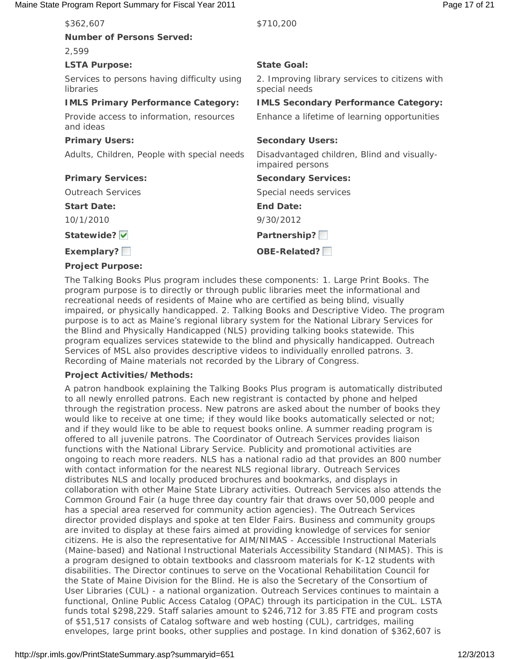### Maine State Program Report Summary for Fiscal Year 2011 **Page 17 of 21** Assets the State Program Report 31 Assets

| \$362,607                                                | \$710,200                                                       |
|----------------------------------------------------------|-----------------------------------------------------------------|
| <b>Number of Persons Served:</b>                         |                                                                 |
| 2,599                                                    |                                                                 |
| <b>LSTA Purpose:</b>                                     | <b>State Goal:</b>                                              |
| Services to persons having difficulty using<br>libraries | 2. Improving library services to citizens with<br>special needs |
| <b>IMLS Primary Performance Category:</b>                | <b>IMLS Secondary Performance Category:</b>                     |
| Provide access to information, resources<br>and ideas    | Enhance a lifetime of learning opportunities                    |
| <b>Primary Users:</b>                                    | <b>Secondary Users:</b>                                         |
| Adults, Children, People with special needs              | Disadvantaged children, Blind and visually-<br>impaired persons |
| <b>Primary Services:</b>                                 | <b>Secondary Services:</b>                                      |
| <b>Outreach Services</b>                                 | Special needs services                                          |
| <b>Start Date:</b>                                       | <b>End Date:</b>                                                |
| 10/1/2010                                                | 9/30/2012                                                       |
| Statewide?                                               | Partnership?                                                    |
| Exemplary?                                               | OBE-Related?                                                    |
| <b>Project Purpose:</b>                                  |                                                                 |

The Talking Books Plus program includes these components: 1. Large Print Books. The program purpose is to directly or through public libraries meet the informational and recreational needs of residents of Maine who are certified as being blind, visually impaired, or physically handicapped. 2. Talking Books and Descriptive Video. The program purpose is to act as Maine's regional library system for the National Library Services for the Blind and Physically Handicapped (NLS) providing talking books statewide. This program equalizes services statewide to the blind and physically handicapped. Outreach Services of MSL also provides descriptive videos to individually enrolled patrons. 3. Recording of Maine materials not recorded by the Library of Congress.

### **Project Activities/Methods:**

A patron handbook explaining the Talking Books Plus program is automatically distributed to all newly enrolled patrons. Each new registrant is contacted by phone and helped through the registration process. New patrons are asked about the number of books they would like to receive at one time; if they would like books automatically selected or not; and if they would like to be able to request books online. A summer reading program is offered to all juvenile patrons. The Coordinator of Outreach Services provides liaison functions with the National Library Service. Publicity and promotional activities are ongoing to reach more readers. NLS has a national radio ad that provides an 800 number with contact information for the nearest NLS regional library. Outreach Services distributes NLS and locally produced brochures and bookmarks, and displays in collaboration with other Maine State Library activities. Outreach Services also attends the Common Ground Fair (a huge three day country fair that draws over 50,000 people and has a special area reserved for community action agencies). The Outreach Services director provided displays and spoke at ten Elder Fairs. Business and community groups are invited to display at these fairs aimed at providing knowledge of services for senior citizens. He is also the representative for AIM/NIMAS - Accessible Instructional Materials (Maine-based) and National Instructional Materials Accessibility Standard (NIMAS). This is a program designed to obtain textbooks and classroom materials for K-12 students with disabilities. The Director continues to serve on the Vocational Rehabilitation Council for the State of Maine Division for the Blind. He is also the Secretary of the Consortium of User Libraries (CUL) - a national organization. Outreach Services continues to maintain a functional, Online Public Access Catalog (OPAC) through its participation in the CUL. LSTA funds total \$298,229. Staff salaries amount to \$246,712 for 3.85 FTE and program costs of \$51,517 consists of Catalog software and web hosting (CUL), cartridges, mailing envelopes, large print books, other supplies and postage. In kind donation of \$362,607 is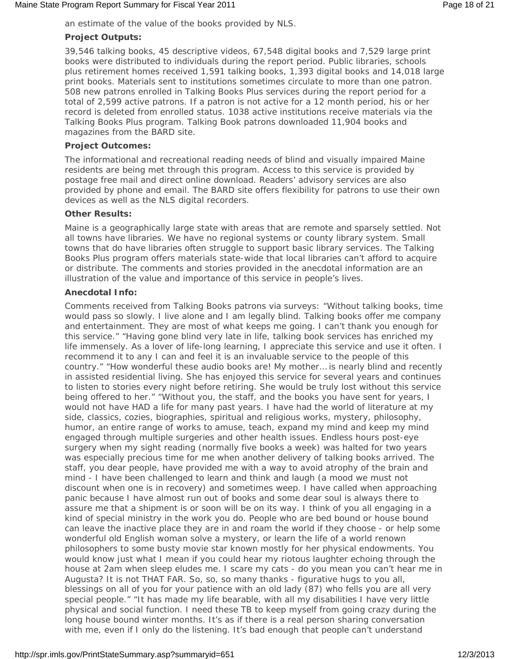an estimate of the value of the books provided by NLS.

### **Project Outputs:**

39,546 talking books, 45 descriptive videos, 67,548 digital books and 7,529 large print books were distributed to individuals during the report period. Public libraries, schools plus retirement homes received 1,591 talking books, 1,393 digital books and 14,018 large print books. Materials sent to institutions sometimes circulate to more than one patron. 508 new patrons enrolled in Talking Books Plus services during the report period for a total of 2,599 active patrons. If a patron is not active for a 12 month period, his or her record is deleted from enrolled status. 1038 active institutions receive materials via the Talking Books Plus program. Talking Book patrons downloaded 11,904 books and magazines from the BARD site.

### **Project Outcomes:**

The informational and recreational reading needs of blind and visually impaired Maine residents are being met through this program. Access to this service is provided by postage free mail and direct online download. Readers' advisory services are also provided by phone and email. The BARD site offers flexibility for patrons to use their own devices as well as the NLS digital recorders.

### **Other Results:**

Maine is a geographically large state with areas that are remote and sparsely settled. Not all towns have libraries. We have no regional systems or county library system. Small towns that do have libraries often struggle to support basic library services. The Talking Books Plus program offers materials state-wide that local libraries can't afford to acquire or distribute. The comments and stories provided in the anecdotal information are an illustration of the value and importance of this service in people's lives.

### **Anecdotal Info:**

Comments received from Talking Books patrons via surveys: "Without talking books, time would pass so slowly. I live alone and I am legally blind. Talking books offer me company and entertainment. They are most of what keeps me going. I can't thank you enough for this service." "Having gone blind very late in life, talking book services has enriched my life immensely. As a lover of life-long learning, I appreciate this service and use it often. I recommend it to any I can and feel it is an invaluable service to the people of this country." "How wonderful these audio books are! My mother… is nearly blind and recently in assisted residential living. She has enjoyed this service for several years and continues to listen to stories every night before retiring. She would be truly lost without this service being offered to her." "Without you, the staff, and the books you have sent for years, I would not have HAD a life for many past years. I have had the world of literature at my side, classics, cozies, biographies, spiritual and religious works, mystery, philosophy, humor, an entire range of works to amuse, teach, expand my mind and keep my mind engaged through multiple surgeries and other health issues. Endless hours post-eye surgery when my sight reading (normally five books a week) was halted for two years was especially precious time for me when another delivery of talking books arrived. The staff, you dear people, have provided me with a way to avoid atrophy of the brain and mind - I have been challenged to learn and think and laugh (a mood we must not discount when one is in recovery) and sometimes weep. I have called when approaching panic because I have almost run out of books and some dear soul is always there to assure me that a shipment is or soon will be on its way. I think of you all engaging in a kind of special ministry in the work you do. People who are bed bound or house bound can leave the inactive place they are in and roam the world if they choose - or help some wonderful old English woman solve a mystery, or learn the life of a world renown philosophers to some busty movie star known mostly for her physical endowments. You would know just what I mean if you could hear my riotous laughter echoing through the house at 2am when sleep eludes me. I scare my cats - do you mean you can't hear me in Augusta? It is not THAT FAR. So, so, so many thanks - figurative hugs to you all, blessings on all of you for your patience with an old lady (87) who fells you are all very special people." "It has made my life bearable, with all my disabilities I have very little physical and social function. I need these TB to keep myself from going crazy during the long house bound winter months. It's as if there is a real person sharing conversation with me, even if I only do the listening. It's bad enough that people can't understand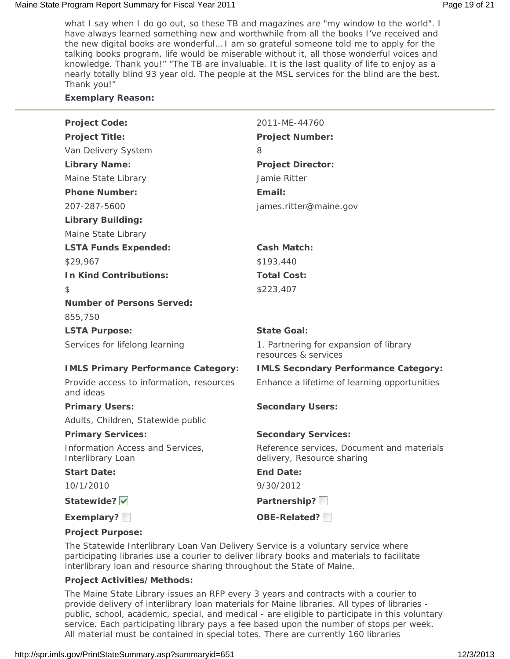### Maine State Program Report Summary for Fiscal Year 2011 **Page 19 of 21** National Page 19 of 21

what I say when I do go out, so these TB and magazines are "my window to the world". I have always learned something new and worthwhile from all the books I've received and the new digital books are wonderful… I am so grateful someone told me to apply for the talking books program, life would be miserable without it, all those wonderful voices and knowledge. Thank you!" "The TB are invaluable. It is the last quality of life to enjoy as a nearly totally blind 93 year old. The people at the MSL services for the blind are the best. Thank you!"

### **Exemplary Reason:**

| <b>Project Code:</b>                                  | 2011-ME-44760                                                            |
|-------------------------------------------------------|--------------------------------------------------------------------------|
| <b>Project Title:</b>                                 | <b>Project Number:</b>                                                   |
| Van Delivery System                                   | 8                                                                        |
| <b>Library Name:</b>                                  | <b>Project Director:</b>                                                 |
| Maine State Library                                   | Jamie Ritter                                                             |
| <b>Phone Number:</b>                                  | Email:                                                                   |
| 207-287-5600                                          | james.ritter@maine.gov                                                   |
| <b>Library Building:</b>                              |                                                                          |
| Maine State Library                                   |                                                                          |
| <b>LSTA Funds Expended:</b>                           | <b>Cash Match:</b>                                                       |
| \$29,967                                              | \$193,440                                                                |
| <b>In Kind Contributions:</b>                         | <b>Total Cost:</b>                                                       |
| \$                                                    | \$223,407                                                                |
| <b>Number of Persons Served:</b>                      |                                                                          |
| 855,750                                               |                                                                          |
| <b>LSTA Purpose:</b>                                  | <b>State Goal:</b>                                                       |
| Services for lifelong learning                        | 1. Partnering for expansion of library<br>resources & services           |
| <b>IMLS Primary Performance Category:</b>             | <b>IMLS Secondary Performance Category:</b>                              |
| Provide access to information, resources<br>and ideas | Enhance a lifetime of learning opportunities                             |
| <b>Primary Users:</b>                                 | <b>Secondary Users:</b>                                                  |
| Adults, Children, Statewide public                    |                                                                          |
| <b>Primary Services:</b>                              | <b>Secondary Services:</b>                                               |
| Information Access and Services,<br>Interlibrary Loan | Reference services, Document and materials<br>delivery, Resource sharing |
| <b>Start Date:</b>                                    | <b>End Date:</b>                                                         |
| 10/1/2010                                             | 9/30/2012                                                                |
| Statewide?                                            | Partnership?                                                             |
| Exemplary?                                            | OBE-Related?                                                             |
| <b>Project Purpose:</b>                               |                                                                          |

The Statewide Interlibrary Loan Van Delivery Service is a voluntary service where participating libraries use a courier to deliver library books and materials to facilitate interlibrary loan and resource sharing throughout the State of Maine.

### **Project Activities/Methods:**

The Maine State Library issues an RFP every 3 years and contracts with a courier to provide delivery of interlibrary loan materials for Maine libraries. All types of libraries public, school, academic, special, and medical - are eligible to participate in this voluntary service. Each participating library pays a fee based upon the number of stops per week. All material must be contained in special totes. There are currently 160 libraries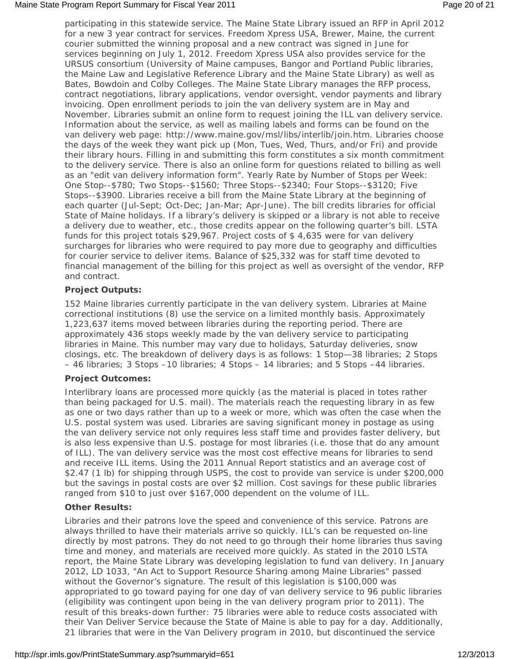### Maine State Program Report Summary for Fiscal Year 2011 **Page 20 of 21** Alleman Archives 20 of 21

participating in this statewide service. The Maine State Library issued an RFP in April 2012 for a new 3 year contract for services. Freedom Xpress USA, Brewer, Maine, the current courier submitted the winning proposal and a new contract was signed in June for services beginning on July 1, 2012. Freedom Xpress USA also provides service for the URSUS consortium (University of Maine campuses, Bangor and Portland Public libraries, the Maine Law and Legislative Reference Library and the Maine State Library) as well as Bates, Bowdoin and Colby Colleges. The Maine State Library manages the RFP process, contract negotiations, library applications, vendor oversight, vendor payments and library invoicing. Open enrollment periods to join the van delivery system are in May and November. Libraries submit an online form to request joining the ILL van delivery service. Information about the service, as well as mailing labels and forms can be found on the van delivery web page: http://www.maine.gov/msl/libs/interlib/join.htm. Libraries choose the days of the week they want pick up (Mon, Tues, Wed, Thurs, and/or Fri) and provide their library hours. Filling in and submitting this form constitutes a six month commitment to the delivery service. There is also an online form for questions related to billing as well as an "edit van delivery information form". Yearly Rate by Number of Stops per Week: One Stop--\$780; Two Stops--\$1560; Three Stops--\$2340; Four Stops--\$3120; Five Stops--\$3900. Libraries receive a bill from the Maine State Library at the beginning of each quarter (Jul-Sept; Oct-Dec; Jan-Mar; Apr-June). The bill credits libraries for official State of Maine holidays. If a library's delivery is skipped or a library is not able to receive a delivery due to weather, etc., those credits appear on the following quarter's bill. LSTA funds for this project totals \$29,967. Project costs of \$ 4,635 were for van delivery surcharges for libraries who were required to pay more due to geography and difficulties for courier service to deliver items. Balance of \$25,332 was for staff time devoted to financial management of the billing for this project as well as oversight of the vendor, RFP and contract.

### **Project Outputs:**

152 Maine libraries currently participate in the van delivery system. Libraries at Maine correctional institutions (8) use the service on a limited monthly basis. Approximately 1,223,637 items moved between libraries during the reporting period. There are approximately 436 stops weekly made by the van delivery service to participating libraries in Maine. This number may vary due to holidays, Saturday deliveries, snow closings, etc. The breakdown of delivery days is as follows: 1 Stop—38 libraries; 2 Stops – 46 libraries; 3 Stops –10 libraries; 4 Stops – 14 libraries; and 5 Stops –44 libraries.

### **Project Outcomes:**

Interlibrary loans are processed more quickly (as the material is placed in totes rather than being packaged for U.S. mail). The materials reach the requesting library in as few as one or two days rather than up to a week or more, which was often the case when the U.S. postal system was used. Libraries are saving significant money in postage as using the van delivery service not only requires less staff time and provides faster delivery, but is also less expensive than U.S. postage for most libraries (i.e. those that do any amount of ILL). The van delivery service was the most cost effective means for libraries to send and receive ILL items. Using the 2011 Annual Report statistics and an average cost of \$2.47 (1 lb) for shipping through USPS, the cost to provide van service is under \$200,000 but the savings in postal costs are over \$2 million. Cost savings for these public libraries ranged from \$10 to just over \$167,000 dependent on the volume of ILL.

### **Other Results:**

Libraries and their patrons love the speed and convenience of this service. Patrons are always thrilled to have their materials arrive so quickly. ILL's can be requested on-line directly by most patrons. They do not need to go through their home libraries thus saving time and money, and materials are received more quickly. As stated in the 2010 LSTA report, the Maine State Library was developing legislation to fund van delivery. In January 2012, LD 1033, "An Act to Support Resource Sharing among Maine Libraries" passed without the Governor's signature. The result of this legislation is \$100,000 was appropriated to go toward paying for one day of van delivery service to 96 public libraries (eligibility was contingent upon being in the van delivery program prior to 2011). The result of this breaks-down further: 75 libraries were able to reduce costs associated with their Van Deliver Service because the State of Maine is able to pay for a day. Additionally, 21 libraries that were in the Van Delivery program in 2010, but discontinued the service